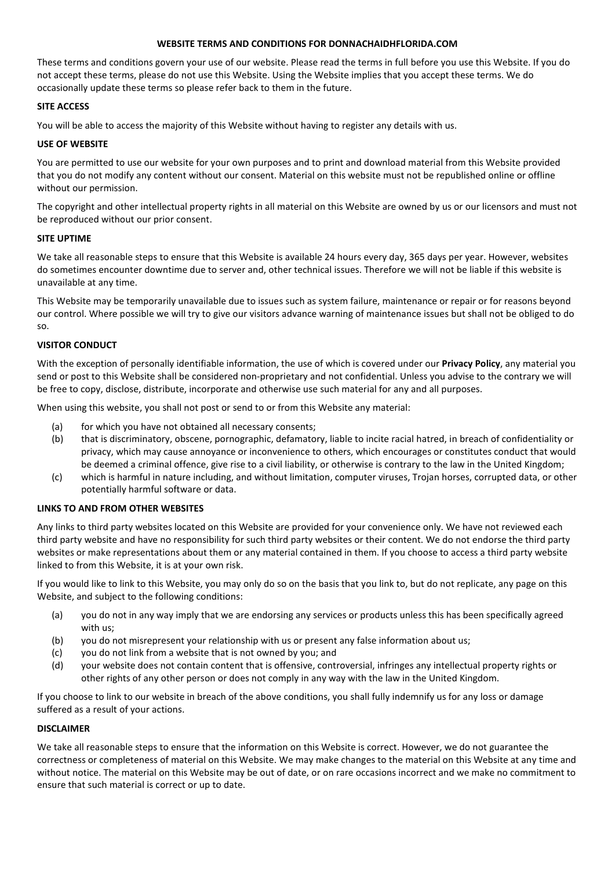### **WEBSITE TERMS AND CONDITIONS FOR DONNACHAIDHFLORIDA.COM**

These terms and conditions govern your use of our website. Please read the terms in full before you use this Website. If you do not accept these terms, please do not use this Website. Using the Website implies that you accept these terms. We do occasionally update these terms so please refer back to them in the future.

### **SITE ACCESS**

You will be able to access the majority of this Website without having to register any details with us.

# **USE OF WEBSITE**

You are permitted to use our website for your own purposes and to print and download material from this Website provided that you do not modify any content without our consent. Material on this website must not be republished online or offline without our permission.

The copyright and other intellectual property rights in all material on this Website are owned by us or our licensors and must not be reproduced without our prior consent.

### **SITE UPTIME**

We take all reasonable steps to ensure that this Website is available 24 hours every day, 365 days per year. However, websites do sometimes encounter downtime due to server and, other technical issues. Therefore we will not be liable if this website is unavailable at any time.

This Website may be temporarily unavailable due to issues such as system failure, maintenance or repair or for reasons beyond our control. Where possible we will try to give our visitors advance warning of maintenance issues but shall not be obliged to do so.

# **VISITOR CONDUCT**

With the exception of personally identifiable information, the use of which is covered under our **Privacy Policy**, any material you send or post to this Website shall be considered non-proprietary and not confidential. Unless you advise to the contrary we will be free to copy, disclose, distribute, incorporate and otherwise use such material for any and all purposes.

When using this website, you shall not post or send to or from this Website any material:

- (a) for which you have not obtained all necessary consents;
- (b) that is discriminatory, obscene, pornographic, defamatory, liable to incite racial hatred, in breach of confidentiality or privacy, which may cause annoyance or inconvenience to others, which encourages or constitutes conduct that would be deemed a criminal offence, give rise to a civil liability, or otherwise is contrary to the law in the United Kingdom;
- (c) which is harmful in nature including, and without limitation, computer viruses, Trojan horses, corrupted data, or other potentially harmful software or data.

### **LINKS TO AND FROM OTHER WEBSITES**

Any links to third party websites located on this Website are provided for your convenience only. We have not reviewed each third party website and have no responsibility for such third party websites or their content. We do not endorse the third party websites or make representations about them or any material contained in them. If you choose to access a third party website linked to from this Website, it is at your own risk.

If you would like to link to this Website, you may only do so on the basis that you link to, but do not replicate, any page on this Website, and subject to the following conditions:

- (a) you do not in any way imply that we are endorsing any services or products unless this has been specifically agreed with us;
- (b) you do not misrepresent your relationship with us or present any false information about us;
- (c) you do not link from a website that is not owned by you; and
- (d) your website does not contain content that is offensive, controversial, infringes any intellectual property rights or other rights of any other person or does not comply in any way with the law in the United Kingdom.

If you choose to link to our website in breach of the above conditions, you shall fully indemnify us for any loss or damage suffered as a result of your actions.

# **DISCLAIMER**

We take all reasonable steps to ensure that the information on this Website is correct. However, we do not guarantee the correctness or completeness of material on this Website. We may make changes to the material on this Website at any time and without notice. The material on this Website may be out of date, or on rare occasions incorrect and we make no commitment to ensure that such material is correct or up to date.